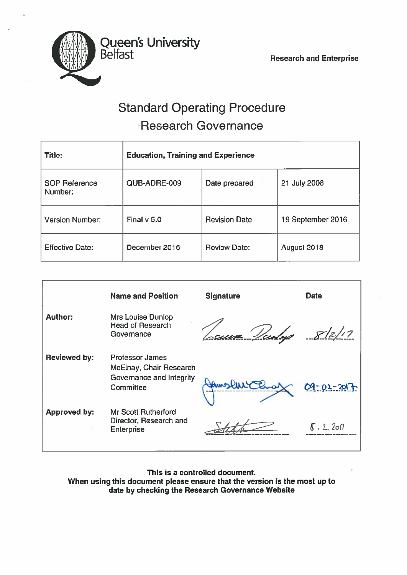

# Standard Operating Procedure Research Governance

| <b>Title:</b>                   | <b>Education, Training and Experience</b> |                      |                   |  |
|---------------------------------|-------------------------------------------|----------------------|-------------------|--|
| <b>SOP Reference</b><br>Number: | QUB-ADRE-009                              | Date prepared        | 21 July 2008      |  |
| <b>Version Number:</b>          | Final $v$ 5.0                             | <b>Revision Date</b> | 19 September 2016 |  |
| <b>Effective Date:</b>          | December 2016                             | <b>Review Date:</b>  | August 2018       |  |

|                     | <b>Name and Position</b>                                                                   | <b>Signature</b>    | <b>Date</b> |
|---------------------|--------------------------------------------------------------------------------------------|---------------------|-------------|
| <b>Author:</b>      | Mrs Louise Dunlop<br><b>Head of Research</b><br>Governance                                 | <u>scura Veudey</u> | 8/2/17      |
| <b>Reviewed by:</b> | <b>Professor James</b><br>McElnay, Chair Research<br>Governance and Integrity<br>Committee |                     | 09-01-2017  |
| <b>Approved by:</b> | <b>Mr Scott Rutherford</b><br>Director, Research and<br><b>Enterprise</b>                  |                     | 8.2.201     |

This is <sup>a</sup> controlled document. When using this document please ensure that the version is the most up to date by checking the Research Governance Website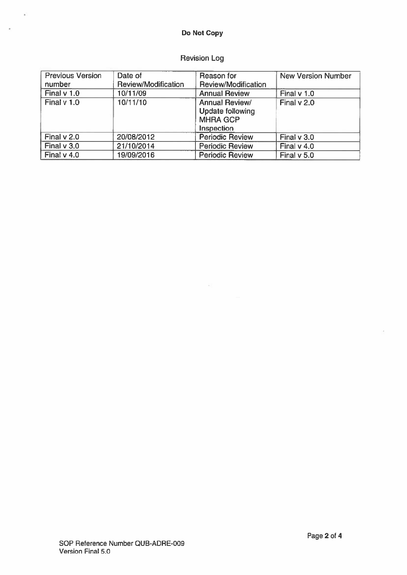# Do Not Copy

 $\tilde{\mathbf{x}}^{\mathcal{S}}_0$ 

×.

# Revision Log

| <b>Previous Version</b> | Date of             | Reason for              | <b>New Version Number</b> |
|-------------------------|---------------------|-------------------------|---------------------------|
| number                  | Review/Modification | Review/Modification     |                           |
| Final $v$ 1.0           | 10/11/09            | <b>Annual Review</b>    | Final $v$ 1.0             |
| Final $v$ 1.0           | 10/11/10            | <b>Annual Review/</b>   | Final v 2.0               |
|                         |                     | <b>Update following</b> |                           |
|                         |                     | <b>MHRA GCP</b>         |                           |
|                         |                     | Inspection              |                           |
| Final v 2.0             | 20/08/2012          | <b>Periodic Review</b>  | Final $v$ 3.0             |
| Final $v$ 3.0           | 21/10/2014          | <b>Periodic Review</b>  | Final $v$ 4.0             |
| Final $v$ 4.0           | 19/09/2016          | <b>Periodic Review</b>  | Final v 5.0               |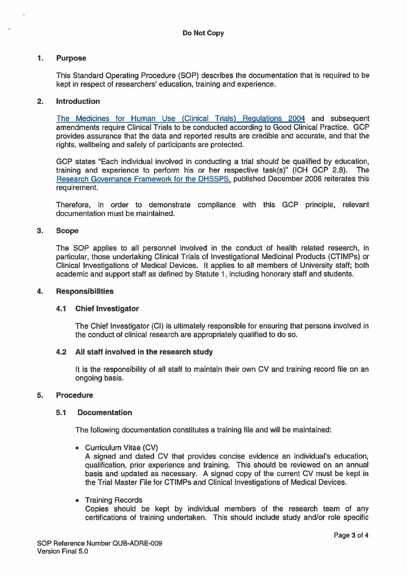# 1. Purpose

This Standard Operating Procedure (SOP) describes the documentation that is required to be kept in respec<sup>t</sup> of researchers' education, training and experience.

# 2. Introduction

The Medicines for Human Use (Clinical Trials) Regulations 2004 and subsequent amendments require Clinical Trials to be conducted according to Good Clinical Practice. GCP provides assurance that the data and reported results are credible and accurate, and that the rights, wellbeing and safety of participants are protected.

GCP states "Each individual involved in conducting <sup>a</sup> trial should be qualified by education, training and experience to perform his or her respective task(s)" (ICH GCP 2.8). The Research Governance Framework for the DHSSPS, published December 2006 reiterates this requirement.

Therefore, in order to demonstrate compliance with this GCP principle, relevant documentation must be maintained.

# 3. Scope

The SOP applies to all personnel involved in the conduct of health related research, in particular, those undertaking Clinical Trials of Investigational Medicinal Products (CTIMPs) or Clinical Investigations of Medical Devices. It applies to all members of University staff; both academic and suppor<sup>t</sup> staff as defined by Statute 1, including honorary staff and students.

#### 4. Responsibilities

# 4.1 Chief Investigator

The Chief Investigator (Cl) is ultimately responsible for ensuring that persons involved in the conduct of clinical research are appropriately qualified to do so.

# 4.2 All staff involved in the research study

It is the responsibility of all staff to maintain their own CV and training record file on an ongoing basis.

# 5. Procedure

# 5.1 Documentation

The following documentation constitutes <sup>a</sup> training file and will be maintained:

• Curriculum Vitae (CV)

A signed and dated CV that provides concise evidence an individual's education, qualification, prior experience and training. This should be reviewed on an annual basis and updated as necessary. A signed copy of the current CV must be kept in the Trial Master File for CTIMPs and Clinical Investigations of Medical Devices.

• Training Records

Copies should be kept by individual members of the research team of any certifications of training undertaken. This should include study and/or role specific